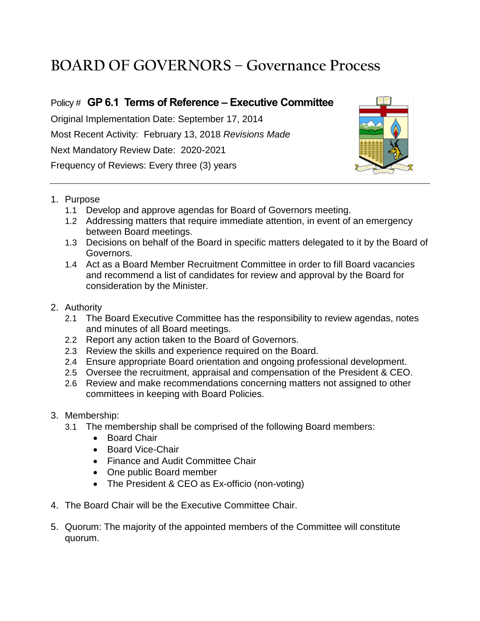## **BOARD OF GOVERNORS – Governance Process**

## Policy # **GP 6.1 Terms of Reference – Executive Committee**

Original Implementation Date: September 17, 2014 Most Recent Activity: February 13, 2018 *Revisions Made* Next Mandatory Review Date: 2020-2021 Frequency of Reviews: Every three (3) years



- 1. Purpose
	- 1.1 Develop and approve agendas for Board of Governors meeting.
	- 1.2 Addressing matters that require immediate attention, in event of an emergency between Board meetings.
	- 1.3 Decisions on behalf of the Board in specific matters delegated to it by the Board of Governors.
	- 1.4 Act as a Board Member Recruitment Committee in order to fill Board vacancies and recommend a list of candidates for review and approval by the Board for consideration by the Minister.
- 2. Authority
	- 2.1 The Board Executive Committee has the responsibility to review agendas, notes and minutes of all Board meetings.
	- 2.2 Report any action taken to the Board of Governors.
	- 2.3 Review the skills and experience required on the Board.
	- 2.4 Ensure appropriate Board orientation and ongoing professional development.
	- 2.5 Oversee the recruitment, appraisal and compensation of the President & CEO.
	- 2.6 Review and make recommendations concerning matters not assigned to other committees in keeping with Board Policies.
- 3. Membership:
	- 3.1 The membership shall be comprised of the following Board members:
		- Board Chair
		- Board Vice-Chair
		- Finance and Audit Committee Chair
		- One public Board member
		- The President & CEO as Ex-officio (non-voting)
- 4. The Board Chair will be the Executive Committee Chair.
- 5. Quorum: The majority of the appointed members of the Committee will constitute quorum.